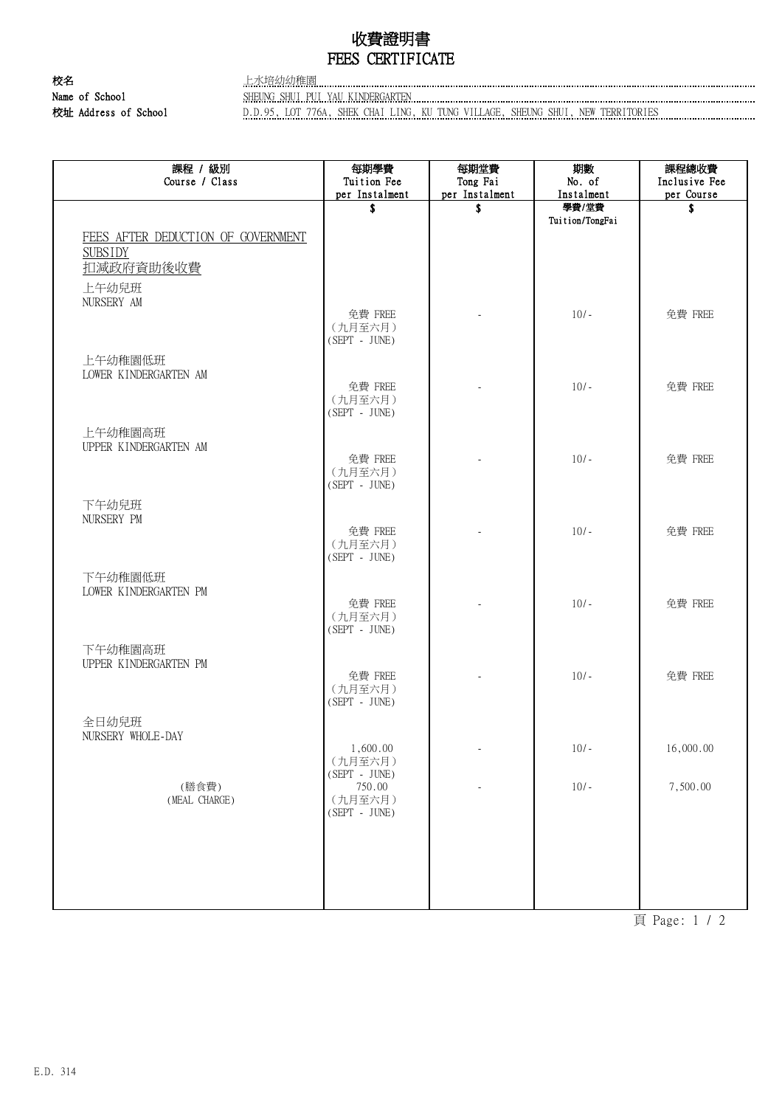## 收費證明書 FEES CERTIFICATE

校名 さんじょう あいしゃ 上水培幼幼稚園 Name of School SHEUNG SHUI PUI YAU KINDERGARTEN

校址 Address of School **D.D.95, LOT 776A, SHEK CHAI LING, KU TUNG VILLAGE**, SHEUNG SHUI, NEW TERRITORIES

| 課程 / 級別<br>Course / Class                                                                | 每期學費<br>Tuition Fee<br>per Instalment  | 每期堂費<br>Tong Fai<br>per Instalment | 期數<br>No. of<br>Instalment | 課程總收費<br>Inclusive Fee<br>per Course |
|------------------------------------------------------------------------------------------|----------------------------------------|------------------------------------|----------------------------|--------------------------------------|
|                                                                                          | \$                                     | S                                  | 學費/堂費                      | S                                    |
| FEES AFTER DEDUCTION OF GOVERNMENT<br><b>SUBSIDY</b><br>扣減政府資助後收費<br>上午幼兒班<br>NURSERY AM |                                        |                                    | Tuition/TongFai            |                                      |
|                                                                                          | 免費 FREE<br>(九月至六月)<br>$(SEPT - JUNE)$  |                                    | $10/-$                     | 免費 FREE                              |
| 上午幼稚園低班<br>LOWER KINDERGARTEN AM                                                         | 免費 FREE                                |                                    | $10/-$                     | 免費 FREE                              |
|                                                                                          | (九月至六月)<br>$(SEPT - JUNE)$             |                                    |                            |                                      |
| 上午幼稚園高班<br>UPPER KINDERGARTEN AM                                                         | 免費 FREE<br>(九月至六月)                     |                                    | $10/-$                     | 免費 FREE                              |
| 下午幼兒班<br>NURSERY PM                                                                      | $(SEPT - JUNE)$<br>免費 FREE             |                                    | $10/-$                     | 免費 FREE                              |
| 下午幼稚園低班<br>LOWER KINDERGARTEN PM                                                         | (九月至六月)<br>$(SEPT - JUNE)$             |                                    |                            |                                      |
|                                                                                          | 免費 FREE<br>(九月至六月)<br>$(SEPT - JUNE)$  |                                    | $10/-$                     | 免費 FREE                              |
| 下午幼稚園高班<br>UPPER KINDERGARTEN PM                                                         | 免費 FREE<br>(九月至六月)                     |                                    | $10/-$                     | 免費 FREE                              |
| 全日幼兒班<br>NURSERY WHOLE-DAY                                                               | $(SEPT - JUNE)$                        |                                    |                            |                                      |
|                                                                                          | 1,600.00<br>(九月至六月)<br>$(SEPT - JUNE)$ | $\overline{\phantom{a}}$           | $10/-$                     | 16,000.00                            |
| (膳食費)<br>(MEAL CHARGE)                                                                   | 750.00<br>(九月至六月)<br>(SEPT - JUNE)     |                                    | $10/-$                     | 7,500.00                             |
|                                                                                          |                                        |                                    |                            |                                      |
|                                                                                          |                                        |                                    |                            |                                      |

頁 Page: 1 / 2